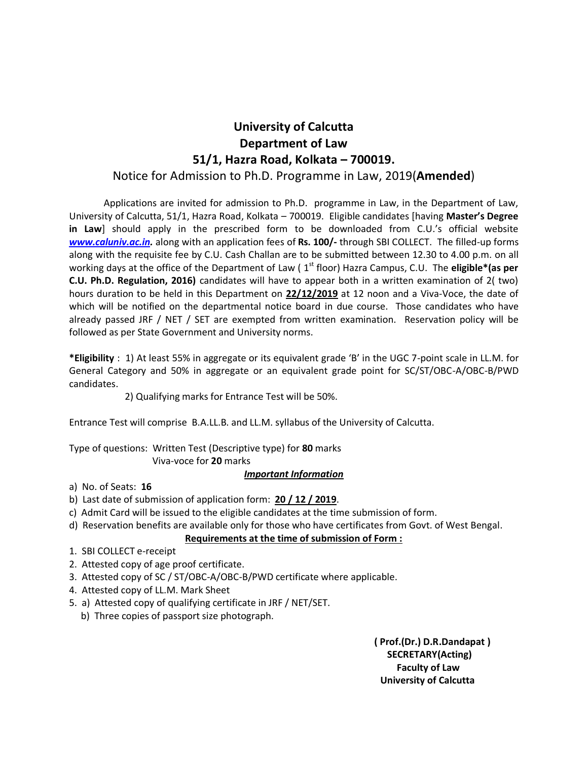## **University of Calcutta Department of Law 51/1, Hazra Road, Kolkata – 700019.**

### Notice for Admission to Ph.D. Programme in Law, 2019(**Amended**)

Applications are invited for admission to Ph.D. programme in Law, in the Department of Law, University of Calcutta, 51/1, Hazra Road, Kolkata – 700019. Eligible candidates [having **Master's Degree in Law**] should apply in the prescribed form to be downloaded from C.U.'s official website *[www.caluniv.ac.in.](http://www.caluniv.ac.in/)* along with an application fees of **Rs. 100/-** through SBI COLLECT. The filled-up forms along with the requisite fee by C.U. Cash Challan are to be submitted between 12.30 to 4.00 p.m. on all working days at the office of the Department of Law (1<sup>st</sup> floor) Hazra Campus, C.U. The **eligible\*(as per C.U. Ph.D. Regulation, 2016)** candidates will have to appear both in a written examination of 2( two) hours duration to be held in this Department on **22/12/2019** at 12 noon and a Viva-Voce, the date of which will be notified on the departmental notice board in due course. Those candidates who have already passed JRF / NET / SET are exempted from written examination. Reservation policy will be followed as per State Government and University norms.

**\*Eligibility** : 1) At least 55% in aggregate or its equivalent grade 'B' in the UGC 7-point scale in LL.M. for General Category and 50% in aggregate or an equivalent grade point for SC/ST/OBC-A/OBC-B/PWD candidates.

2) Qualifying marks for Entrance Test will be 50%.

Entrance Test will comprise B.A.LL.B. and LL.M. syllabus of the University of Calcutta.

Type of questions: Written Test (Descriptive type) for **80** marks Viva-voce for **20** marks

#### *Important Information*

a) No. of Seats: **16**

- b) Last date of submission of application form: **20 / 12 / 2019**.
- c) Admit Card will be issued to the eligible candidates at the time submission of form.
- d) Reservation benefits are available only for those who have certificates from Govt. of West Bengal.

#### **Requirements at the time of submission of Form :**

- 1. SBI COLLECT e-receipt
- 2. Attested copy of age proof certificate.
- 3. Attested copy of SC / ST/OBC-A/OBC-B/PWD certificate where applicable.
- 4. Attested copy of LL.M. Mark Sheet
- 5. a) Attested copy of qualifying certificate in JRF / NET/SET.
	- b) Three copies of passport size photograph.

 **( Prof.(Dr.) D.R.Dandapat ) SECRETARY(Acting) Faculty of Law University of Calcutta**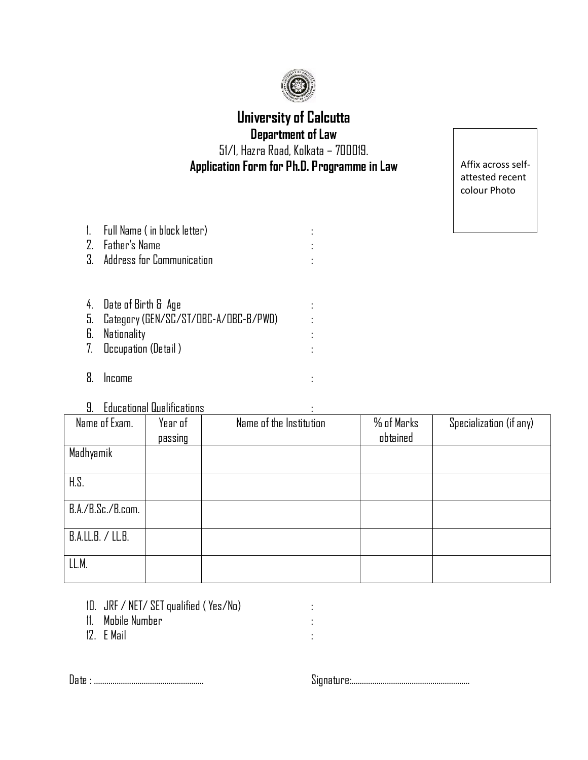

## **University of Calcutta Department of Law**

51/1, Hazra Road, Kolkata – 700019. **Application Form for Ph.D. Programme in Law**

Affix across selfattested recent colour Photo

| 1. Full Name (in block letter)<br>2. Father's Name<br>3. Address for Communication                            |  |
|---------------------------------------------------------------------------------------------------------------|--|
| 4. Date of Birth & Age<br>5. Category (GEN/SC/ST/OBC-A/OBC-B/PWD)<br>6. Nationality<br>7. Occupation (Detail) |  |

- 8. Income :
- 9. Educational Qualifications :

| ___________________________ |                    |                         |                        |                         |  |
|-----------------------------|--------------------|-------------------------|------------------------|-------------------------|--|
| Name of Exam.               | Year of<br>passing | Name of the Institution | % of Marks<br>obtained | Specialization (if any) |  |
| Madhyamik                   |                    |                         |                        |                         |  |
| H.S.                        |                    |                         |                        |                         |  |
| B.A./B.Sc./B.com.           |                    |                         |                        |                         |  |
| B.A.LL.B. / LL.B.           |                    |                         |                        |                         |  |
| LL.M.                       |                    |                         |                        |                         |  |

- 10. JRF / NET/ SETqualified ( Yes/No) :
- 11. Mobile Number :
- 12. E Mail :

Date : …………………………………………….. Signature:…………………………………………………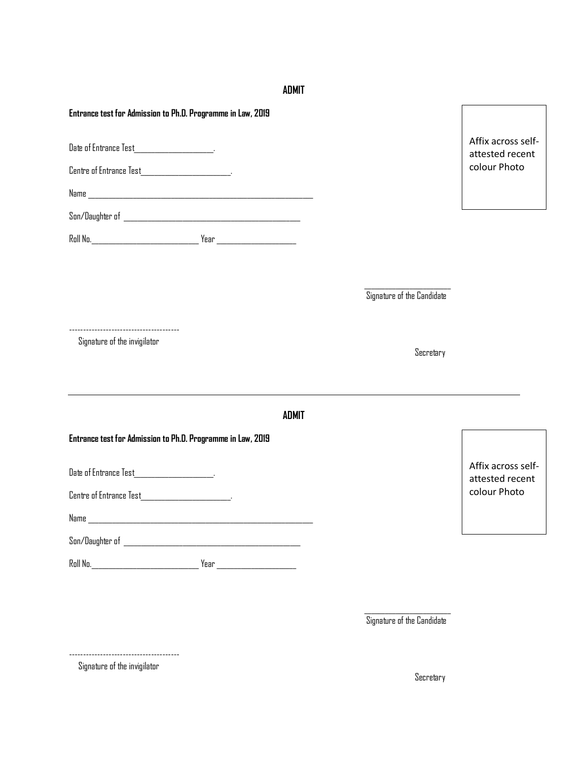#### **ADMIT**

**Entrance test for Admission to Ph.D. Programme in Law, 2019**

Date of Entrance Test\_\_\_\_\_\_\_\_\_\_\_\_\_\_\_\_\_\_\_\_\_\_\_.

Centre of Entrance Test\_\_\_\_\_\_\_\_\_\_\_\_\_\_\_\_\_\_\_\_\_\_\_\_\_\_\_\_\_\_\_\_\_.

Name \_\_\_\_\_\_\_\_\_\_\_\_\_\_\_\_\_\_\_\_\_\_\_\_\_\_\_\_\_\_\_\_\_\_\_\_\_\_\_\_\_\_\_\_\_\_\_\_\_\_\_\_\_\_\_\_\_\_\_\_\_\_\_\_\_

Son/Daughter of \_\_\_\_\_\_\_\_\_\_\_\_\_\_\_\_\_\_\_\_\_\_\_\_\_\_\_\_\_\_\_\_\_\_\_\_\_\_\_\_\_\_\_\_\_\_\_\_\_\_\_

Roll No.\_\_\_\_\_\_\_\_\_\_\_\_\_\_\_\_\_\_\_\_\_\_\_\_\_\_\_\_\_\_\_ Year \_\_\_\_\_\_\_\_\_\_\_\_\_\_\_\_\_\_\_\_\_\_\_

Affix across selfattested recent colour Photo

Signature of the Candidate

Secretary

--------------------------------------- Signature of the invigilator

**ADMIT**

**Entrance test for Admission to Ph.D. Programme in Law, 2019**

Date of Entrance Test\_\_\_\_\_\_\_\_\_\_\_\_\_\_\_\_\_\_\_\_\_.

Centre of Entrance Test\_\_\_\_\_\_\_\_\_\_\_\_\_\_\_\_\_\_\_\_\_\_\_\_\_\_.

Name \_\_\_\_\_\_\_\_\_\_\_\_\_\_\_\_\_\_\_\_\_\_\_\_\_\_\_\_\_\_\_\_\_\_\_\_\_\_\_\_\_\_\_\_\_\_\_\_\_\_\_\_\_\_\_\_\_\_\_\_\_\_\_\_\_

| Son/Daughter |  |
|--------------|--|
|--------------|--|

Roll No.\_\_\_\_\_\_\_\_\_\_\_\_\_\_\_\_\_\_\_\_\_\_\_\_\_\_\_\_\_\_\_ Year \_\_\_\_\_\_\_\_\_\_\_\_\_\_\_\_\_\_\_\_\_\_\_

Affix across selfattested recent colour Photo

Signature of the Candidate

---------------------------------------

Signature of the invigilator